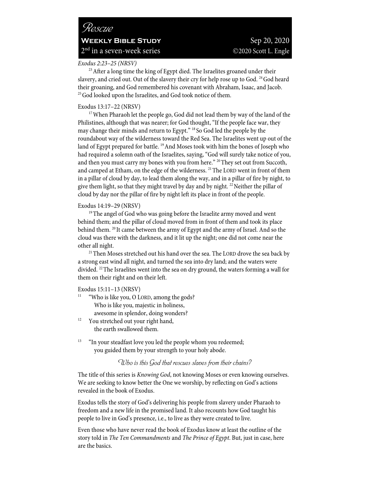# *Exodus 2:23–25 (NRSV)*

<sup>23</sup> After a long time the king of Egypt died. The Israelites groaned under their slavery, and cried out. Out of the slavery their cry for help rose up to God. <sup>24</sup> God heard their groaning, and God remembered his covenant with Abraham, Isaac, and Jacob. <sup>25</sup> God looked upon the Israelites, and God took notice of them.

Exodus 13:17–22 (NRSV)<br><sup>17</sup>When Pharaoh let the people go, God did not lead them by way of the land of the Philistines, although that was nearer; for God thought, "If the people face war, they may change their minds and return to Egypt." 18 So God led the people by the roundabout way of the wilderness toward the Red Sea. The Israelites went up out of the land of Egypt prepared for battle. <sup>19</sup> And Moses took with him the bones of Joseph who had required a solemn oath of the Israelites, saying, "God will surely take notice of you, and then you must carry my bones with you from here." <sup>20</sup> They set out from Succoth, and camped at Etham, on the edge of the wilderness. <sup>21</sup> The LORD went in front of them in a pillar of cloud by day, to lead them along the way, and in a pillar of fire by night, to give them light, so that they might travel by day and by night.<sup>22</sup> Neither the pillar of cloud by day nor the pillar of fire by night left its place in front of the people.

Exodus 14:19–29 (NRSV)<br><sup>19</sup>The angel of God who was going before the Israelite army moved and went behind them; and the pillar of cloud moved from in front of them and took its place behind them. <sup>20</sup> It came between the army of Egypt and the army of Israel. And so the cloud was there with the darkness, and it lit up the night; one did not come near the % other all night.<br><sup>21</sup>Then Moses stretched out his hand over the sea. The LORD drove the sea back by

a strong east wind all night, and turned the sea into dry land; and the waters were divided. 22The Israelites went into the sea on dry ground, the waters forming a wall for them on their right and on their left.

- Exodus 15:11–13 (NRSV)<br><sup>11</sup> "Who is like you, O LORD, among the gods? Who is like you, majestic in holiness, awesome in splendor, doing wonders?<br><sup>12</sup> You stretched out your right hand,
- the earth swallowed them.
- <sup>13</sup> "In your steadfast love you led the people whom you redeemed; you guided them by your strength to your holy abode.

*Who is this God that rescues slaves from their chains?*

The title of this series is *Knowing God*, not knowing Moses or even knowing ourselves. We are seeking to know better the One we worship, by reflecting on God's actions revealed in the book of Exodus.

Exodus tells the story of God's delivering his people from slavery under Pharaoh to freedom and a new life in the promised land. It also recounts how God taught his people to live in God's presence, i.e., to live as they were created to live.

Even those who have never read the book of Exodus know at least the outline of the story told in *The Ten Commandments* and *The Prince of Egypt*. But, just in case, here are the basics.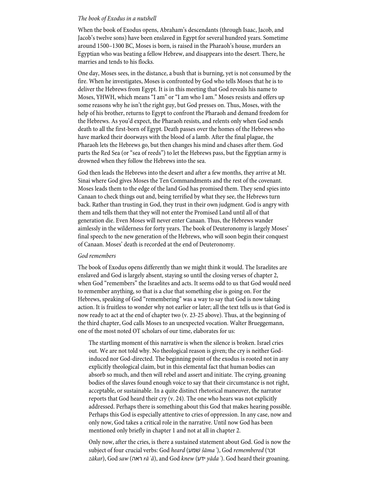#### *The book of Exodus in a nutshell*

When the book of Exodus opens, Abraham's descendants (through Isaac, Jacob, and Jacob's twelve sons) have been enslaved in Egypt for several hundred years. Sometime around 1500–1300 BC, Moses is born, is raised in the Pharaoh's house, murders an Egyptian who was beating a fellow Hebrew, and disappears into the desert. There, he marries and tends to his flocks.

One day, Moses sees, in the distance, a bush that is burning, yet is not consumed by the fire. When he investigates, Moses is confronted by God who tells Moses that he is to deliver the Hebrews from Egypt. It is in this meeting that God reveals his name to Moses, YHWH, which means "I am" or "I am who I am." Moses resists and offers up some reasons why he isn't the right guy, but God presses on. Thus, Moses, with the help of his brother, returns to Egypt to confront the Pharaoh and demand freedom for the Hebrews. As you'd expect, the Pharaoh resists, and relents only when God sends death to all the first-born of Egypt. Death passes over the homes of the Hebrews who have marked their doorways with the blood of a lamb. After the final plague, the Pharaoh lets the Hebrews go, but then changes his mind and chases after them. God parts the Red Sea (or "sea of reeds") to let the Hebrews pass, but the Egyptian army is drowned when they follow the Hebrews into the sea.

God then leads the Hebrews into the desert and after a few months, they arrive at Mt. Sinai where God gives Moses the Ten Commandments and the rest of the covenant. Moses leads them to the edge of the land God has promised them. They send spies into Canaan to check things out and, being terrified by what they see, the Hebrews turn back. Rather than trusting in God, they trust in their own judgment. God is angry with them and tells them that they will not enter the Promised Land until all of that generation die. Even Moses will never enter Canaan. Thus, the Hebrews wander aimlessly in the wilderness for forty years. The book of Deuteronomy is largely Moses' final speech to the new generation of the Hebrews, who will soon begin their conquest of Canaan. Moses' death is recorded at the end of Deuteronomy.

#### *God remembers*

The book of Exodus opens differently than we might think it would. The Israelites are enslaved and God is largely absent, staying so until the closing verses of chapter 2, when God "remembers" the Israelites and acts. It seems odd to us that God would need to remember anything, so that is a clue that something else is going on. For the Hebrews, speaking of God "remembering" was a way to say that God is now taking action. It is fruitless to wonder why not earlier or later; all the text tells us is that God is now ready to act at the end of chapter two (v. 23-25 above). Thus, at the beginning of the third chapter, God calls Moses to an unexpected vocation. Walter Brueggemann, one of the most noted OT scholars of our time, elaborates for us:

The startling moment of this narrative is when the silence is broken. Israel cries out. We are not told why. No theological reason is given; the cry is neither Godinduced nor God-directed. The beginning point of the exodus is rooted not in any explicitly theological claim, but in this elemental fact that human bodies can absorb so much, and then will rebel and assert and initiate. The crying, groaning bodies of the slaves found enough voice to say that their circumstance is not right, acceptable, or sustainable. In a quite distinct rhetorical maneuver, the narrator reports that God heard their cry (v. 24). The one who hears was not explicitly addressed. Perhaps there is something about this God that makes hearing possible. Perhaps this God is especially attentive to cries of oppression. In any case, now and only now, God takes a critical role in the narrative. Until now God has been mentioned only briefly in chapter 1 and not at all in chapter 2.

Only now, after the cries, is there a sustained statement about God. God is now the subject of four crucial verbs: God *heard* ( עמשׁ šā*maʿ*), God *remembered* ( רכז *z*ā*kar*), God *saw* ( האר *r*ā*ʾâ*), and God *knew* ( עדי *y*ā*daʿ*). God heard their groaning.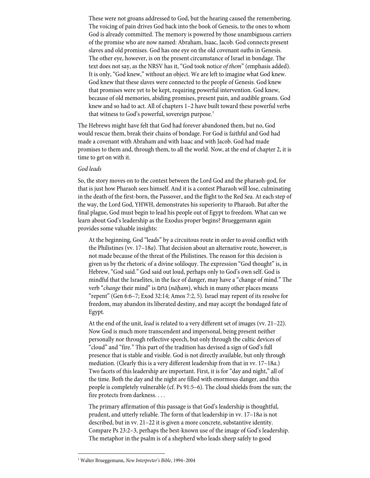These were not groans addressed to God, but the hearing caused the remembering. The voicing of pain drives God back into the book of Genesis, to the ones to whom God is already committed. The memory is powered by those unambiguous carriers of the promise who are now named: Abraham, Isaac, Jacob. God connects present slaves and old promises. God has one eye on the old covenant oaths in Genesis. The other eye, however, is on the present circumstance of Israel in bondage. The text does not say, as the NRSV has it, "God took notice *of them*" (emphasis added). It is only, "God knew," without an object. We are left to imagine what God knew. God knew that these slaves were connected to the people of Genesis. God knew that promises were yet to be kept, requiring powerful intervention. God knew, because of old memories, abiding promises, present pain, and audible groans. God knew and so had to act. All of chapters 1–2 have built toward these powerful verbs that witness to God's powerful, sovereign purpose.<sup>1</sup>

The Hebrews might have felt that God had forever abandoned them, but no, God would rescue them, break their chains of bondage. For God is faithful and God had made a covenant with Abraham and with Isaac and with Jacob. God had made promises to them and, through them, to all the world. Now, at the end of chapter 2, it is time to get on with it.

### *God leads*

So, the story moves on to the contest between the Lord God and the pharaoh-god, for that is just how Pharaoh sees himself. And it is a contest Pharaoh will lose, culminating in the death of the first-born, the Passover, and the flight to the Red Sea. At each step of the way, the Lord God, YHWH, demonstrates his superiority to Pharaoh. But after the final plague, God must begin to lead his people out of Egypt to freedom. What can we learn about God's leadership as the Exodus proper begins? Brueggemann again provides some valuable insights:

At the beginning, God "leads" by a circuitous route in order to avoid conflict with the Philistines (vv. 17–18*a*). That decision about an alternative route, however, is not made because of the threat of the Philistines. The reason for this decision is given us by the rhetoric of a divine soliloquy. The expression "God thought" is, in Hebrew, "God said." God said out loud, perhaps only to God's own self. God is mindful that the Israelites, in the face of danger, may have a "change of mind." The verb "*change* their mind" is םחנ) *n*ā*ḥam*), which in many other places means "repent" (Gen 6:6–7; Exod 32:14; Amos 7:2, 5). Israel may repent of its resolve for freedom, may abandon its liberated destiny, and may accept the bondaged fate of Egypt.

At the end of the unit, *lead* is related to a very different set of images (vv. 21–22). Now God is much more transcendent and impersonal, being present neither personally nor through reflective speech, but only through the cultic devices of "cloud" and "fire." This part of the tradition has devised a sign of God's full presence that is stable and visible. God is not directly available, but only through mediation. (Clearly this is a very different leadership from that in vv. 17–18*a*.) Two facets of this leadership are important. First, it is for "day and night," all of the time. Both the day and the night are filled with enormous danger, and this people is completely vulnerable (cf. Ps 91:5–6). The cloud shields from the sun; the fire protects from darkness. . . .

The primary affirmation of this passage is that God's leadership is thoughtful, prudent, and utterly reliable. The form of that leadership in vv. 17–18*a* is not described, but in vv. 21–22 it is given a more concrete, substantive identity. Compare Ps 23:2–3, perhaps the best-known use of the image of God's leadership. The metaphor in the psalm is of a shepherd who leads sheep safely to good

<sup>1</sup> Walter Brueggemann, *New Interpreter's Bible*, 1994–2004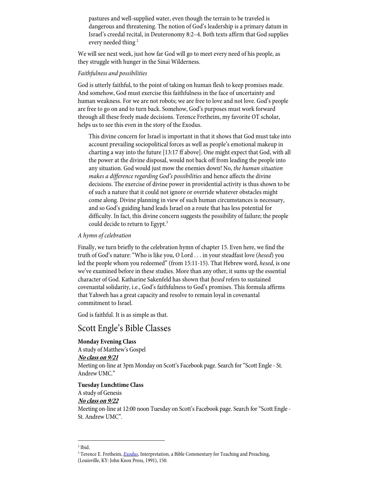pastures and well-supplied water, even though the terrain to be traveled is dangerous and threatening. The notion of God's leadership is a primary datum in Israel's creedal recital, in Deuteronomy 8:2–4. Both texts affirm that God supplies every needed thing<sup>2</sup>

We will see next week, just how far God will go to meet every need of his people, as they struggle with hunger in the Sinai Wilderness.

### *Faithfulness and possibilities*

God is utterly faithful, to the point of taking on human flesh to keep promises made. And somehow, God must exercise this faithfulness in the face of uncertainty and human weakness. For we are not robots; we are free to love and not love. God's people are free to go on and to turn back. Somehow, God's purposes must work forward through all these freely made decisions. Terence Fretheim, my favorite OT scholar, helps us to see this even in the story of the Exodus.

This divine concern for Israel is important in that it shows that God must take into account prevailing sociopolitical forces as well as people's emotional makeup in charting a way into the future [13:17 ff above]. One might expect that God, with all the power at the divine disposal, would not back off from leading the people into any situation. God would just mow the enemies down! No, *the human situation makes a difference regarding God's possibilities* and hence affects the divine decisions. The exercise of divine power in providential activity is thus shown to be of such a nature that it could not ignore or override whatever obstacles might come along. Divine planning in view of such human circumstances is necessary, and so God's guiding hand leads Israel on a route that has less potential for difficulty. In fact, this divine concern suggests the possibility of failure; the people could decide to return to Egypt.<sup>3</sup>

#### *A hymn of celebration*

Finally, we turn briefly to the celebration hymn of chapter 15. Even here, we find the truth of God's nature: "Who is like you, O Lord . . . in your steadfast love (*hesed*) you led the people whom you redeemed" (from 15:11-15). That Hebrew word, *hesed*, is one we've examined before in these studies. More than any other, it sums up the essential character of God. Katharine Sakenfeld has shown that *ḥesed* refers to sustained covenantal solidarity, i.e., God's faithfulness to God's promises. This formula affirms that Yahweh has a great capacity and resolve to remain loyal in covenantal commitment to Israel.

God is faithful. It is as simple as that.

# Scott Engle's Bible Classes

# **Monday Evening Class**

A study of Matthew's Gospel **No class on 9/21** Meeting on-line at 3pm Monday on Scott's Facebook page. Search for "Scott Engle - St. Andrew UMC."

#### **Tuesday Lunchtime Class**

A study of Genesis

**No class on 9/22**

Meeting on-line at 12:00 noon Tuesday on Scott's Facebook page. Search for "Scott Engle - St. Andrew UMC".

 $2$  Ibid.

<sup>&</sup>lt;sup>3</sup> Terence E. Fretheim, *Exodus*, Interpretation, a Bible Commentary for Teaching and Preaching, (Louisville, KY: John Knox Press, 1991), 150.